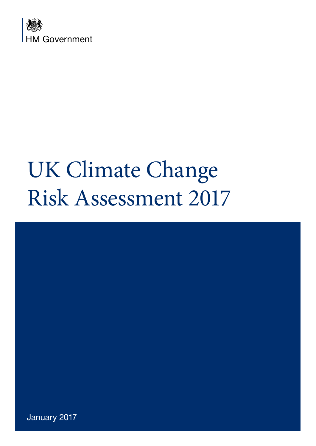

# UK Climate Change Risk Assessment 2017



January 2017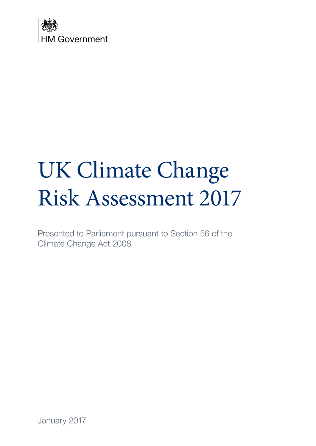

# UK Climate Change Risk Assessment 2017

Presented to Parliament pursuant to Section 56 of the Climate Change Act 2008

January 2017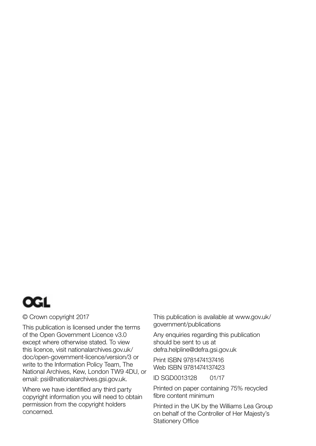

#### © Crown copyright 2017

This publication is licensed under the terms of the Open Government Licence v3.0 except where otherwise stated. To view this licence, visit [nationalarchives.gov.uk/](http://nationalarchives.gov.uk/doc/open-government-licence/version/3) [doc/open-government-licence/version/3](http://nationalarchives.gov.uk/doc/open-government-licence/version/3) or write to the Information Policy Team, The National Archives, Kew, London TW9 4DU, or email: [psi@nationalarchives.gsi.gov.uk.](mailto:psi@nationalarchives.gsi.gov.uk)

Where we have identified any third party copyright information you will need to obtain permission from the copyright holders concerned.

This publication is available at [www.gov.uk/](http://www.gov.uk/government/publications) [government/publications](http://www.gov.uk/government/publications)

Any enquiries regarding this publication should be sent to us at [defra.helpline@defra.gsi.gov.uk](mailto:defra.helpline@defra.gsi.gov.uk)

Print ISBN 9781474137416 Web ISBN 9781474137423

ID SGD0013128 01/17

Printed on paper containing 75% recycled fibre content minimum

Printed in the UK by the Williams Lea Group on behalf of the Controller of Her Majesty's Stationery Office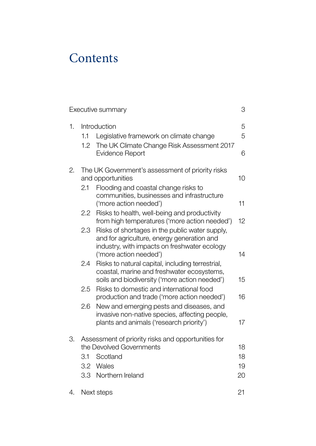## **Contents**

| 3<br>Executive summary |                  |                                                                                                                                                                        |                      |  |
|------------------------|------------------|------------------------------------------------------------------------------------------------------------------------------------------------------------------------|----------------------|--|
| 1.                     | 1.1              | Introduction<br>Legislative framework on climate change                                                                                                                | 5<br>5               |  |
|                        | 1.2 <sub>2</sub> | The UK Climate Change Risk Assessment 2017<br><b>Evidence Report</b>                                                                                                   | 6                    |  |
| 2.                     |                  | The UK Government's assessment of priority risks<br>and opportunities                                                                                                  | 10                   |  |
|                        | 2.1              | Flooding and coastal change risks to<br>communities, businesses and infrastructure<br>('more action needed')                                                           | 11                   |  |
|                        | $2.2^{\circ}$    | Risks to health, well-being and productivity<br>from high temperatures ('more action needed')                                                                          | 12                   |  |
|                        | 2.3              | Risks of shortages in the public water supply,<br>and for agriculture, energy generation and<br>industry, with impacts on freshwater ecology<br>('more action needed') | 14                   |  |
|                        | 2.4              | Risks to natural capital, including terrestrial,<br>coastal, marine and freshwater ecosystems,<br>soils and biodiversity ('more action needed')                        | 15                   |  |
|                        | 2.5              | Risks to domestic and international food<br>production and trade ('more action needed')                                                                                | 16                   |  |
|                        | 2.6              | New and emerging pests and diseases, and<br>invasive non-native species, affecting people,<br>plants and animals ('research priority')                                 | 17                   |  |
| З.                     | 3.1              | Assessment of priority risks and opportunities for<br>the Devolved Governments<br>Scotland<br>3.2 Wales<br>3.3 Northern Ireland                                        | 18<br>18<br>19<br>20 |  |
| 4.                     |                  | Next steps                                                                                                                                                             | 21                   |  |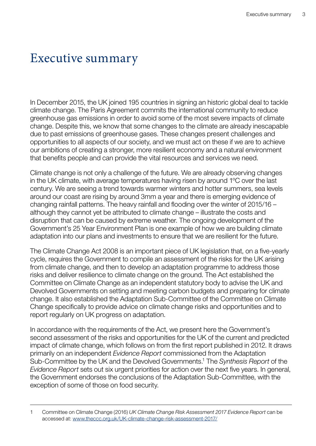## <span id="page-4-0"></span>Executive summary

In December 2015, the UK joined 195 countries in signing an historic global deal to tackle climate change. The Paris Agreement commits the international community to reduce greenhouse gas emissions in order to avoid some of the most severe impacts of climate change. Despite this, we know that some changes to the climate are already inescapable due to past emissions of greenhouse gases. These changes present challenges and opportunities to all aspects of our society, and we must act on these if we are to achieve our ambitions of creating a stronger, more resilient economy and a natural environment that benefits people and can provide the vital resources and services we need.

Climate change is not only a challenge of the future. We are already observing changes in the UK climate, with average temperatures having risen by around 1ºC over the last century. We are seeing a trend towards warmer winters and hotter summers, sea levels around our coast are rising by around 3mm a year and there is emerging evidence of changing rainfall patterns. The heavy rainfall and flooding over the winter of 2015/16 – although they cannot yet be attributed to climate change – illustrate the costs and disruption that can be caused by extreme weather. The ongoing development of the Government's 25 Year Environment Plan is one example of how we are building climate adaptation into our plans and investments to ensure that we are resilient for the future.

The Climate Change Act 2008 is an important piece of UK legislation that, on a five-yearly cycle, requires the Government to compile an assessment of the risks for the UK arising from climate change, and then to develop an adaptation programme to address those risks and deliver resilience to climate change on the ground. The Act established the Committee on Climate Change as an independent statutory body to advise the UK and Devolved Governments on setting and meeting carbon budgets and preparing for climate change. It also established the Adaptation Sub-Committee of the Committee on Climate Change specifically to provide advice on climate change risks and opportunities and to report regularly on UK progress on adaptation.

In accordance with the requirements of the Act, we present here the Government's second assessment of the risks and opportunities for the UK of the current and predicted impact of climate change, which follows on from the first report published in 2012. It draws primarily on an independent *Evidence Report* commissioned from the Adaptation Sub-Committee by the UK and the Devolved Governments.1 The *Synthesis Report* of the *Evidence Report* sets out six urgent priorities for action over the next five years. In general, the Government endorses the conclusions of the Adaptation Sub-Committee, with the exception of some of those on food security.

<sup>1</sup> Committee on Climate Change (2016) *UK Climate Change Risk Assessment 2017 Evidence Report* can be accessed at: [www.theccc.org.uk/UK-climate-change-risk-assessment-2017/](http://www.theccc.org.uk/UK-climate-change-risk-assessment-2017/)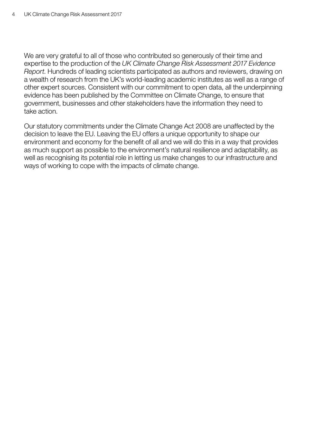We are very grateful to all of those who contributed so generously of their time and expertise to the production of the *UK Climate Change Risk Assessment 2017 Evidence Report*. Hundreds of leading scientists participated as authors and reviewers, drawing on a wealth of research from the UK's world-leading academic institutes as well as a range of other expert sources. Consistent with our commitment to open data, all the underpinning evidence has been published by the Committee on Climate Change, to ensure that government, businesses and other stakeholders have the information they need to take action.

Our statutory commitments under the Climate Change Act 2008 are unaffected by the decision to leave the EU. Leaving the EU offers a unique opportunity to shape our environment and economy for the benefit of all and we will do this in a way that provides as much support as possible to the environment's natural resilience and adaptability, as well as recognising its potential role in letting us make changes to our infrastructure and ways of working to cope with the impacts of climate change.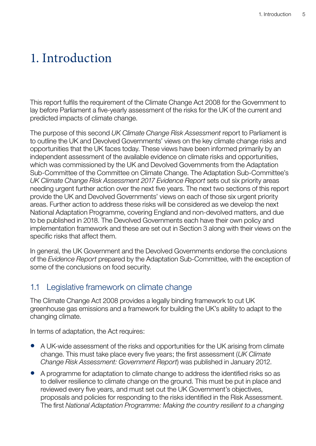## <span id="page-6-0"></span>1. Introduction

This report fulfils the requirement of the Climate Change Act 2008 for the Government to lay before Parliament a five-yearly assessment of the risks for the UK of the current and predicted impacts of climate change.

The purpose of this second *UK Climate Change Risk Assessment* report to Parliament is to outline the UK and Devolved Governments' views on the key climate change risks and opportunities that the UK faces today. These views have been informed primarily by an independent assessment of the available evidence on climate risks and opportunities, which was commissioned by the UK and Devolved Governments from the Adaptation Sub-Committee of the Committee on Climate Change. The Adaptation Sub-Committee's *UK Climate Change Risk Assessment 2017 Evidence Report* sets out six priority areas needing urgent further action over the next five years. The next two sections of this report provide the UK and Devolved Governments' views on each of those six urgent priority areas. Further action to address these risks will be considered as we develop the next National Adaptation Programme, covering England and non-devolved matters, and due to be published in 2018. The Devolved Governments each have their own policy and implementation framework and these are set out in Section 3 along with their views on the specific risks that affect them.

In general, the UK Government and the Devolved Governments endorse the conclusions of the *Evidence Report* prepared by the Adaptation Sub-Committee, with the exception of some of the conclusions on food security.

#### 1.1 Legislative framework on climate change

The Climate Change Act 2008 provides a legally binding framework to cut UK greenhouse gas emissions and a framework for building the UK's ability to adapt to the changing climate.

In terms of adaptation, the Act requires:

- A UK-wide assessment of the risks and opportunities for the UK arising from climate change. This must take place every five years; the first assessment (*UK Climate Change Risk Assessment: Government Report*) was published in January 2012.
- A programme for adaptation to climate change to address the identified risks so as to deliver resilience to climate change on the ground. This must be put in place and reviewed every five years, and must set out the UK Government's objectives, proposals and policies for responding to the risks identified in the Risk Assessment. The first *National Adaptation Programme: Making the country resilient to a changing*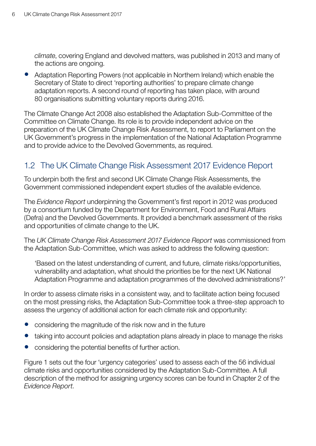<span id="page-7-0"></span>*climate*, covering England and devolved matters, was published in 2013 and many of the actions are ongoing.

• Adaptation Reporting Powers (not applicable in Northern Ireland) which enable the Secretary of State to direct 'reporting authorities' to prepare climate change adaptation reports. A second round of reporting has taken place, with around 80 organisations submitting voluntary reports during 2016.

The Climate Change Act 2008 also established the Adaptation Sub-Committee of the Committee on Climate Change. Its role is to provide independent advice on the preparation of the UK Climate Change Risk Assessment, to report to Parliament on the UK Government's progress in the implementation of the National Adaptation Programme and to provide advice to the Devolved Governments, as required.

### 1.2 The UK Climate Change Risk Assessment 2017 Evidence Report

To underpin both the first and second UK Climate Change Risk Assessments, the Government commissioned independent expert studies of the available evidence.

The *Evidence Report* underpinning the Government's first report in 2012 was produced by a consortium funded by the Department for Environment, Food and Rural Affairs (Defra) and the Devolved Governments. It provided a benchmark assessment of the risks and opportunities of climate change to the UK.

The *UK Climate Change Risk Assessment 2017 Evidence Report* was commissioned from the Adaptation Sub-Committee, which was asked to address the following question:

'Based on the latest understanding of current, and future, climate risks/opportunities, vulnerability and adaptation, what should the priorities be for the next UK National Adaptation Programme and adaptation programmes of the devolved administrations?'

In order to assess climate risks in a consistent way, and to facilitate action being focused on the most pressing risks, the Adaptation Sub-Committee took a three-step approach to assess the urgency of additional action for each climate risk and opportunity:

- considering the magnitude of the risk now and in the future
- taking into account policies and adaptation plans already in place to manage the risks
- considering the potential benefits of further action.

Figure 1 sets out the four 'urgency categories' used to assess each of the 56 individual climate risks and opportunities considered by the Adaptation Sub-Committee. A full description of the method for assigning urgency scores can be found in Chapter 2 of the *Evidence Report*.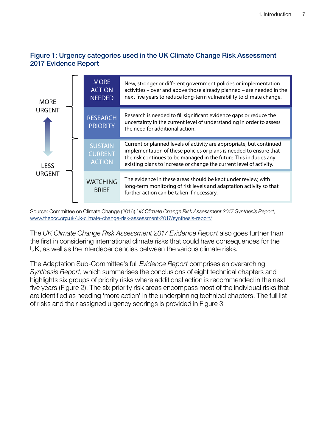#### Figure 1: Urgency categories used in the UK Climate Change Risk Assessment 2017 Evidence Report



Source: Committee on Climate Change (2016) *UK Climate Change Risk Assessment 2017 Synthesis Report*, [www.theccc.org.uk/uk-climate-change-risk-assessment-2017/synthesis-report/](http://www.theccc.org.uk/uk-climate-change-risk-assessment-2017/synthesis-report/)

The *UK Climate Change Risk Assessment 2017 Evidence Report* also goes further than the first in considering international climate risks that could have consequences for the UK, as well as the interdependencies between the various climate risks.

The Adaptation Sub-Committee's full *Evidence Report* comprises an overarching *Synthesis Report*, which summarises the conclusions of eight technical chapters and highlights six groups of priority risks where additional action is recommended in the next five years (Figure 2). The six priority risk areas encompass most of the individual risks that are identified as needing 'more action' in the underpinning technical chapters. The full list of risks and their assigned urgency scorings is provided in Figure 3.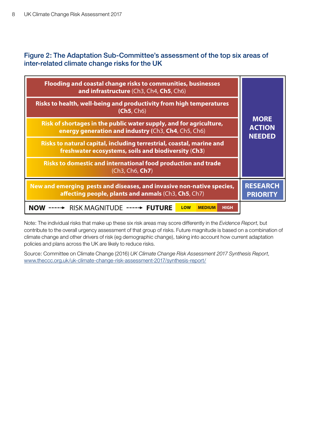#### Figure 2: The Adaptation Sub-Committee's assessment of the top six areas of inter-related climate change risks for the UK

| Flooding and coastal change risks to communities, businesses<br>and infrastructure (Ch3, Ch4, Ch5, Ch6)                      |                                               |  |
|------------------------------------------------------------------------------------------------------------------------------|-----------------------------------------------|--|
| Risks to health, well-being and productivity from high temperatures<br>(Ch5, Ch6)                                            | <b>MORE</b><br><b>ACTION</b><br><b>NEEDED</b> |  |
| Risk of shortages in the public water supply, and for agriculture,<br>energy generation and industry (Ch3, Ch4, Ch5, Ch6)    |                                               |  |
| Risks to natural capital, including terrestrial, coastal, marine and<br>freshwater ecosystems, soils and biodiversity (Ch3)  |                                               |  |
| Risks to domestic and international food production and trade<br>(Ch3, Ch6, <b>Ch7</b> )                                     |                                               |  |
| New and emerging pests and diseases, and invasive non-native species,<br>affecting people, plants and anmals (Ch3, Ch5, Ch7) | <b>RESEARCH</b><br><b>PRIORITY</b>            |  |
| RISK MAGNITUDE ----→<br><b>FUTURE</b><br><b>LOW</b><br><b>MEDIUM</b><br><b>HIGH</b>                                          |                                               |  |

Note: The individual risks that make up these six risk areas may score differently in the *Evidence Report*, but contribute to the overall urgency assessment of that group of risks. Future magnitude is based on a combination of climate change and other drivers of risk (eg demographic change), taking into account how current adaptation policies and plans across the UK are likely to reduce risks.

Source: Committee on Climate Change (2016) *UK Climate Change Risk Assessment 2017 Synthesis Report*, [www.theccc.org.uk/uk-climate-change-risk-assessment-2017/synthesis-report/](http://www.theccc.org.uk/uk-climate-change-risk-assessment-2017/synthesis-report/)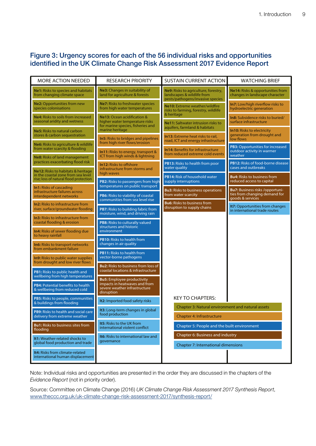#### Figure 3: Urgency scores for each of the 56 individual risks and opportunities identified in the UK Climate Change Risk Assessment 2017 Evidence Report

| <b>MORE ACTION NEEDED</b>                                                                                          | <b>RESEARCH PRIORITY</b>                                                                                          | <b>SUSTAIN CURRENT ACTION</b>                                                                                          | <b>WATCHING BRIEF</b>                                                   |
|--------------------------------------------------------------------------------------------------------------------|-------------------------------------------------------------------------------------------------------------------|------------------------------------------------------------------------------------------------------------------------|-------------------------------------------------------------------------|
| Ne1: Risks to species and habitats<br>from changing climate space                                                  | Ne3: Changes in suitability of<br>land for agriculture & forests                                                  | Ne9: Risks to agriculture, forestry,<br>landscapes & wildlife from<br>pests/pathogens/invasive species                 | Ne14: Risks & opportunities from<br>changes in landscape character      |
| <b>Ne2: Opportunities from new</b><br>species colonisations                                                        | Ne7: Risks to freshwater species<br>from high water temperatures                                                  | Ne10: Extreme weather/wildfire<br>risks to farming, forestry, wildlife                                                 | In7: Low/high riverflow risks to<br>hydroelectric generation            |
| Ne4: Risks to soils from increased<br>seasonal aridity and wetness                                                 | Ne13: Ocean acidification &<br>higher water temperature risks<br>for marine species, fisheries and                | & heritage<br>Ne11: Saltwater intrusion risks to<br>aquifers, farmland & habitats<br>In13: Extreme heat risks to rail, | In8: Subsidence risks to buried/<br>surface infrastructure              |
| Ne5: Risks to natural carbon<br>stores & carbon sequestration                                                      | marine heritage<br>In5: Risks to bridges and pipelines                                                            |                                                                                                                        | In 10: Risks to electricity<br>generation from drought and<br>low flows |
| Ne6: Risks to agriculture & wildlife<br>from water scarcity & flooding                                             | from high river flows/erosion<br>In11: Risks to energy, transport &                                               | road, ICT and energy infrastructure<br><b>In14: Benefits for infrastructure</b>                                        | PB3: Opportunities for increased<br>outdoor activity in warmer          |
| <b>Ne8: Risks of land management</b><br>practices exacerbating flood risk                                          | ICT from high winds & lightning<br>In12: Risks to offshore                                                        | from reduced extreme cold events<br>PB13: Risks to health from poor                                                    | weather<br>PB12: Risks of food-borne disease                            |
| Ne12: Risks to habitats & heritage<br>in the coastal zone from sea level<br>rise; loss of natural flood protection | infrastructure from storms and<br>high waves                                                                      | water quality<br>PB14: Risk of household water                                                                         | cases and outbreaks<br><b>Bu4:</b> Risks to business from               |
| <b>In1: Risks of cascading</b><br>infrastructure failures across                                                   | PB2: Risks to passengers from high<br>temperatures on public transport                                            | supply interruptions<br><b>Bu3:</b> Risks to business operations                                                       | reduced access to capital<br>Bu7: Business risks /opportuni-            |
| interdependent networks<br>In2: Risks to infrastructure from                                                       | PB6: Risks to viability of coastal<br>communities from sea level rise                                             | from water scarcity<br><b>Bu6:</b> Risks to business from                                                              | ties from changing demand for<br>goods & services                       |
| river, surface/groundwater flooding                                                                                | <b>PB7:</b> Risks to building fabric from<br>moisture, wind, and driving rain                                     | disruption to supply chains                                                                                            | It7: Opportunities from changes<br>in international trade routes        |
| <b>In3: Risks to infrastructure from</b><br>coastal flooding & erosion                                             | PB8: Risks to culturally valued<br>structures and historic                                                        |                                                                                                                        |                                                                         |
| In4: Risks of sewer flooding due<br>to heavy rainfall                                                              | environment<br><b>PB10:</b> Risks to health from                                                                  |                                                                                                                        |                                                                         |
| In6: Risks to transport networks<br>from embankment failure                                                        | changes in air quality                                                                                            |                                                                                                                        |                                                                         |
| In9: Risks to public water supplies<br>from drought and low river flows                                            | <b>PB11: Risks to health from</b><br>vector-borne pathogens                                                       |                                                                                                                        |                                                                         |
| PB1: Risks to public health and<br>wellbeing from high temperatures                                                | <b>Bu2:</b> Risks to business from loss of<br>coastal locations & infrastructure                                  |                                                                                                                        |                                                                         |
| PB4: Potential benefits to health<br>& wellbeing from reduced cold                                                 | <b>Bu5:</b> Employee productivity<br>impacts in heatwaves and from<br>severe weather infrastructure<br>disruption |                                                                                                                        |                                                                         |
| PB5: Risks to people, communities<br>& buildings from flooding                                                     | It2: Imported food safety risks                                                                                   | <b>KEY TO CHAPTERS:</b>                                                                                                |                                                                         |
| <b>PB9:</b> Risks to health and social care<br>delivery from extreme weather                                       | It3: Long-term changes in global<br>food production                                                               | Chapter 3: Natural environment and natural assets<br><b>Chapter 4: Infrastructure</b>                                  |                                                                         |
| <b>Bu1:</b> Risks to business sites from<br>flooding                                                               | It5: Risks to the UK from<br>international violent conflict                                                       | Chapter 5: People and the built environment                                                                            |                                                                         |
| It1: Weather-related shocks to<br>global food production and trade                                                 | It6: Risks to international law and<br>governance                                                                 | Chapter 6: Business and industry<br>Chapter 7: International dimensions                                                |                                                                         |
| It4: Risks from climate-related<br>international human displacement                                                |                                                                                                                   |                                                                                                                        |                                                                         |

Note: Individual risks and opportunities are presented in the order they are discussed in the chapters of the *Evidence Report* (not in priority order).

Source: Committee on Climate Change (2016) *UK Climate Change Risk Assessment 2017 Synthesis Report*, [www.theccc.org.uk/uk-climate-change-risk-assessment-2017/synthesis-report/](http://www.theccc.org.uk/uk-climate-change-risk-assessment-2017/synthesis-report/)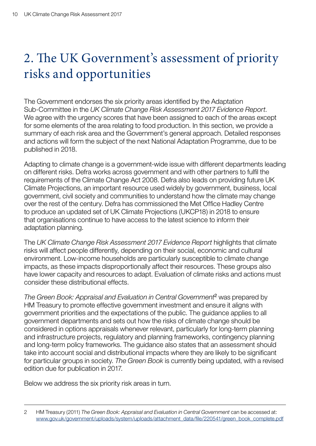# <span id="page-11-0"></span>2. The UK Government's assessment of priority risks and opportunities

The Government endorses the six priority areas identified by the Adaptation Sub-Committee in the *UK Climate Change Risk Assessment 2017 Evidence Report*. We agree with the urgency scores that have been assigned to each of the areas except for some elements of the area relating to food production. In this section, we provide a summary of each risk area and the Government's general approach. Detailed responses and actions will form the subject of the next National Adaptation Programme, due to be published in 2018.

Adapting to climate change is a government-wide issue with different departments leading on different risks. Defra works across government and with other partners to fulfil the requirements of the Climate Change Act 2008. Defra also leads on providing future UK Climate Projections, an important resource used widely by government, business, local government, civil society and communities to understand how the climate may change over the rest of the century. Defra has commissioned the Met Office Hadley Centre to produce an updated set of UK Climate Projections (UKCP18) in 2018 to ensure that organisations continue to have access to the latest science to inform their adaptation planning.

The *UK Climate Change Risk Assessment 2017 Evidence Report* highlights that climate risks will affect people differently, depending on their social, economic and cultural environment. Low-income households are particularly susceptible to climate change impacts, as these impacts disproportionally affect their resources. These groups also have lower capacity and resources to adapt. Evaluation of climate risks and actions must consider these distributional effects.

*The Green Book: Appraisal and Evaluation in Central Government*2 was prepared by HM Treasury to promote effective government investment and ensure it aligns with government priorities and the expectations of the public. The guidance applies to all government departments and sets out how the risks of climate change should be considered in options appraisals whenever relevant, particularly for long-term planning and infrastructure projects, regulatory and planning frameworks, contingency planning and long-term policy frameworks. The guidance also states that an assessment should take into account social and distributional impacts where they are likely to be significant for particular groups in society. *The Green Book* is currently being updated, with a revised edition due for publication in 2017.

Below we address the six priority risk areas in turn.

<sup>2</sup> HM Treasury (2011) *The Green Book: Appraisal and Evaluation in Central Government* can be accessed at: [www.gov.uk/government/uploads/system/uploads/attachment\\_data/file/220541/green\\_book\\_complete.pdf](http://www.gov.uk/government/uploads/system/uploads/attachment_data/file/220541/green_book_complete.pdf)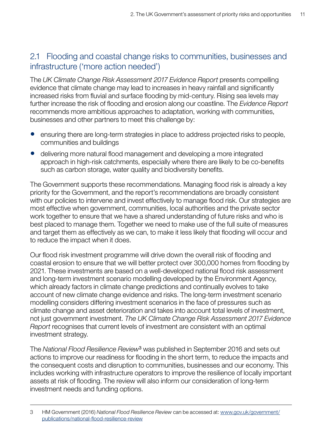### <span id="page-12-0"></span>2.1 Flooding and coastal change risks to communities, businesses and infrastructure ('more action needed')

The *UK Climate Change Risk Assessment 2017 Evidence Report* presents compelling evidence that climate change may lead to increases in heavy rainfall and significantly increased risks from fluvial and surface flooding by mid-century. Rising sea levels may further increase the risk of flooding and erosion along our coastline. The *Evidence Report* recommends more ambitious approaches to adaptation, working with communities, businesses and other partners to meet this challenge by:

- ensuring there are long-term strategies in place to address projected risks to people, communities and buildings
- delivering more natural flood management and developing a more integrated approach in high-risk catchments, especially where there are likely to be co-benefits such as carbon storage, water quality and biodiversity benefits.

The Government supports these recommendations. Managing flood risk is already a key priority for the Government, and the report's recommendations are broadly consistent with our policies to intervene and invest effectively to manage flood risk. Our strategies are most effective when government, communities, local authorities and the private sector work together to ensure that we have a shared understanding of future risks and who is best placed to manage them. Together we need to make use of the full suite of measures and target them as effectively as we can, to make it less likely that flooding will occur and to reduce the impact when it does.

Our flood risk investment programme will drive down the overall risk of flooding and coastal erosion to ensure that we will better protect over 300,000 homes from flooding by 2021. These investments are based on a well-developed national flood risk assessment and long-term investment scenario modelling developed by the Environment Agency, which already factors in climate change predictions and continually evolves to take account of new climate change evidence and risks. The long-term investment scenario modelling considers differing investment scenarios in the face of pressures such as climate change and asset deterioration and takes into account total levels of investment, not just government investment. *The UK Climate Change Risk Assessment 2017 Evidence Report* recognises that current levels of investment are consistent with an optimal investment strategy.

The *National Flood Resilience Review*3 was published in September 2016 and sets out actions to improve our readiness for flooding in the short term, to reduce the impacts and the consequent costs and disruption to communities, businesses and our economy. This includes working with infrastructure operators to improve the resilience of locally important assets at risk of flooding. The review will also inform our consideration of long-term investment needs and funding options.

<sup>3</sup> HM Government (2016) *National Flood Resilience Review* can be accessed at: [www.gov.uk/government/](https://www.gov.uk/government/publications/national-flood-resilience-review) [publications/national-flood-resilience-review](https://www.gov.uk/government/publications/national-flood-resilience-review)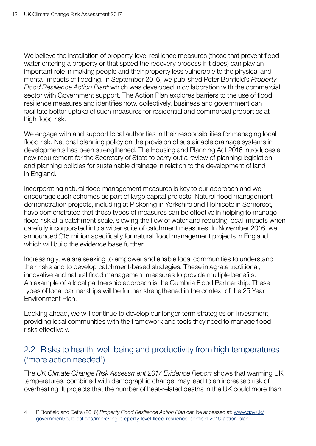<span id="page-13-0"></span>We believe the installation of property-level resilience measures (those that prevent flood water entering a property or that speed the recovery process if it does) can play an important role in making people and their property less vulnerable to the physical and mental impacts of flooding. In September 2016, we published Peter Bonfield's *Property Flood Resilience Action Plan*4 which was developed in collaboration with the commercial sector with Government support. The Action Plan explores barriers to the use of flood resilience measures and identifies how, collectively, business and government can facilitate better uptake of such measures for residential and commercial properties at high flood risk.

We engage with and support local authorities in their responsibilities for managing local flood risk. National planning policy on the provision of sustainable drainage systems in developments has been strengthened. The Housing and Planning Act 2016 introduces a new requirement for the Secretary of State to carry out a review of planning legislation and planning policies for sustainable drainage in relation to the development of land in England.

Incorporating natural flood management measures is key to our approach and we encourage such schemes as part of large capital projects. Natural flood management demonstration projects, including at Pickering in Yorkshire and Holnicote in Somerset, have demonstrated that these types of measures can be effective in helping to manage flood risk at a catchment scale, slowing the flow of water and reducing local impacts when carefully incorporated into a wider suite of catchment measures. In November 2016, we announced £15 million specifically for natural flood management projects in England, which will build the evidence base further.

Increasingly, we are seeking to empower and enable local communities to understand their risks and to develop catchment-based strategies. These integrate traditional, innovative and natural flood management measures to provide multiple benefits. An example of a local partnership approach is the Cumbria Flood Partnership. These types of local partnerships will be further strengthened in the context of the 25 Year Environment Plan.

Looking ahead, we will continue to develop our longer-term strategies on investment, providing local communities with the framework and tools they need to manage flood risks effectively.

#### 2.2 Risks to health, well-being and productivity from high temperatures ('more action needed')

The *UK Climate Change Risk Assessment 2017 Evidence Report* shows that warming UK temperatures, combined with demographic change, may lead to an increased risk of overheating. It projects that the number of heat-related deaths in the UK could more than

<sup>4</sup> P Bonfield and Defra (2016) *Property Flood Resilience Action Plan* can be accessed at: [www.gov.uk/](https://www.gov.uk/government/publications/improving-property-level-flood-resilience-bonfield-2016-action-plan) [government/publications/improving-property-level-flood-resilience-bonfield-2016-action-plan](https://www.gov.uk/government/publications/improving-property-level-flood-resilience-bonfield-2016-action-plan)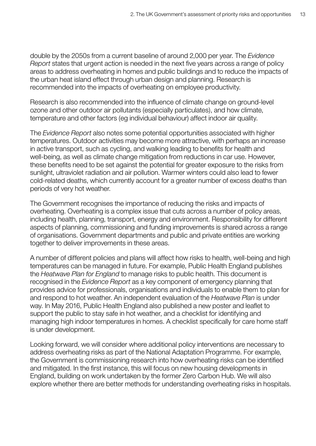double by the 2050s from a current baseline of around 2,000 per year. The *Evidence Report* states that urgent action is needed in the next five years across a range of policy areas to address overheating in homes and public buildings and to reduce the impacts of the urban heat island effect through urban design and planning. Research is recommended into the impacts of overheating on employee productivity.

Research is also recommended into the influence of climate change on ground-level ozone and other outdoor air pollutants (especially particulates), and how climate, temperature and other factors (eg individual behaviour) affect indoor air quality.

The *Evidence Report* also notes some potential opportunities associated with higher temperatures. Outdoor activities may become more attractive, with perhaps an increase in active transport, such as cycling, and walking leading to benefits for health and well-being, as well as climate change mitigation from reductions in car use. However, these benefits need to be set against the potential for greater exposure to the risks from sunlight, ultraviolet radiation and air pollution. Warmer winters could also lead to fewer cold-related deaths, which currently account for a greater number of excess deaths than periods of very hot weather.

The Government recognises the importance of reducing the risks and impacts of overheating. Overheating is a complex issue that cuts across a number of policy areas, including health, planning, transport, energy and environment. Responsibility for different aspects of planning, commissioning and funding improvements is shared across a range of organisations. Government departments and public and private entities are working together to deliver improvements in these areas.

A number of different policies and plans will affect how risks to health, well-being and high temperatures can be managed in future. For example, Public Health England publishes the *Heatwave Plan for England* to manage risks to public health. This document is recognised in the *Evidence Report* as a key component of emergency planning that provides advice for professionals, organisations and individuals to enable them to plan for and respond to hot weather. An independent evaluation of the *Heatwave Plan* is under way. In May 2016, Public Health England also published a new poster and leaflet to support the public to stay safe in hot weather, and a checklist for identifying and managing high indoor temperatures in homes. A checklist specifically for care home staff is under development.

Looking forward, we will consider where additional policy interventions are necessary to address overheating risks as part of the National Adaptation Programme. For example, the Government is commissioning research into how overheating risks can be identified and mitigated. In the first instance, this will focus on new housing developments in England, building on work undertaken by the former Zero Carbon Hub. We will also explore whether there are better methods for understanding overheating risks in hospitals.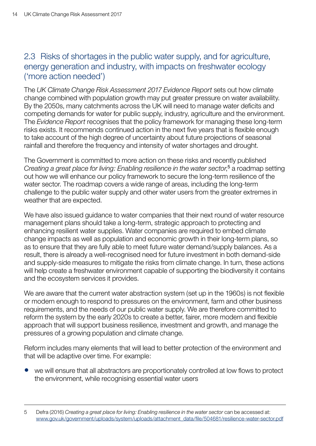## <span id="page-15-0"></span>2.3 Risks of shortages in the public water supply, and for agriculture, energy generation and industry, with impacts on freshwater ecology ('more action needed')

The *UK Climate Change Risk Assessment 2017 Evidence Report* sets out how climate change combined with population growth may put greater pressure on water availability. By the 2050s, many catchments across the UK will need to manage water deficits and competing demands for water for public supply, industry, agriculture and the environment. The *Evidence Report* recognises that the policy framework for managing these long-term risks exists. It recommends continued action in the next five years that is flexible enough to take account of the high degree of uncertainty about future projections of seasonal rainfall and therefore the frequency and intensity of water shortages and drought.

The Government is committed to more action on these risks and recently published *Creating a great place for living: Enabling resilience in the water sector*, <sup>5</sup> a roadmap setting out how we will enhance our policy framework to secure the long-term resilience of the water sector. The roadmap covers a wide range of areas, including the long-term challenge to the public water supply and other water users from the greater extremes in weather that are expected.

We have also issued quidance to water companies that their next round of water resource management plans should take a long-term, strategic approach to protecting and enhancing resilient water supplies. Water companies are required to embed climate change impacts as well as population and economic growth in their long-term plans, so as to ensure that they are fully able to meet future water demand/supply balances. As a result, there is already a well-recognised need for future investment in both demand-side and supply-side measures to mitigate the risks from climate change. In turn, these actions will help create a freshwater environment capable of supporting the biodiversity it contains and the ecosystem services it provides.

We are aware that the current water abstraction system (set up in the 1960s) is not flexible or modern enough to respond to pressures on the environment, farm and other business requirements, and the needs of our public water supply. We are therefore committed to reform the system by the early 2020s to create a better, fairer, more modern and flexible approach that will support business resilience, investment and growth, and manage the pressures of a growing population and climate change.

Reform includes many elements that will lead to better protection of the environment and that will be adaptive over time. For example:

we will ensure that all abstractors are proportionately controlled at low flows to protect the environment, while recognising essential water users

<sup>5</sup> Defra (2016) *Creating a great place for living: Enabling resilience in the water sector* can be accessed at: [www.gov.uk/government/uploads/system/uploads/attachment\\_data/file/504681/resilience-water-sector.pdf](https://www.gov.uk/government/uploads/system/uploads/attachment_data/file/504681/resilience-water-sector.pdf)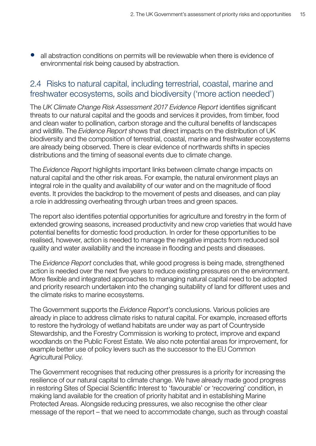<span id="page-16-0"></span>• all abstraction conditions on permits will be reviewable when there is evidence of environmental risk being caused by abstraction.

#### 2.4 Risks to natural capital, including terrestrial, coastal, marine and freshwater ecosystems, soils and biodiversity ('more action needed')

The *UK Climate Change Risk Assessment 2017 Evidence Report* identifies significant threats to our natural capital and the goods and services it provides, from timber, food and clean water to pollination, carbon storage and the cultural benefits of landscapes and wildlife. The *Evidence Report* shows that direct impacts on the distribution of UK biodiversity and the composition of terrestrial, coastal, marine and freshwater ecosystems are already being observed. There is clear evidence of northwards shifts in species distributions and the timing of seasonal events due to climate change.

The *Evidence Report* highlights important links between climate change impacts on natural capital and the other risk areas. For example, the natural environment plays an integral role in the quality and availability of our water and on the magnitude of flood events. It provides the backdrop to the movement of pests and diseases, and can play a role in addressing overheating through urban trees and green spaces.

The report also identifies potential opportunities for agriculture and forestry in the form of extended growing seasons, increased productivity and new crop varieties that would have potential benefits for domestic food production. In order for these opportunities to be realised, however, action is needed to manage the negative impacts from reduced soil quality and water availability and the increase in flooding and pests and diseases.

The *Evidence Report* concludes that, while good progress is being made, strengthened action is needed over the next five years to reduce existing pressures on the environment. More flexible and integrated approaches to managing natural capital need to be adopted and priority research undertaken into the changing suitability of land for different uses and the climate risks to marine ecosystems.

The Government supports the *Evidence Report*'s conclusions. Various policies are already in place to address climate risks to natural capital. For example, increased efforts to restore the hydrology of wetland habitats are under way as part of Countryside Stewardship, and the Forestry Commission is working to protect, improve and expand woodlands on the Public Forest Estate. We also note potential areas for improvement, for example better use of policy levers such as the successor to the EU Common Agricultural Policy.

The Government recognises that reducing other pressures is a priority for increasing the resilience of our natural capital to climate change. We have already made good progress in restoring Sites of Special Scientific Interest to 'favourable' or 'recovering' condition, in making land available for the creation of priority habitat and in establishing Marine Protected Areas. Alongside reducing pressures, we also recognise the other clear message of the report – that we need to accommodate change, such as through coastal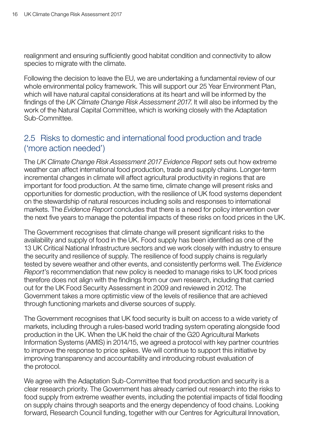<span id="page-17-0"></span>realignment and ensuring sufficiently good habitat condition and connectivity to allow species to migrate with the climate.

Following the decision to leave the EU, we are undertaking a fundamental review of our whole environmental policy framework. This will support our 25 Year Environment Plan, which will have natural capital considerations at its heart and will be informed by the findings of the *UK Climate Change Risk Assessment 2017*. It will also be informed by the work of the Natural Capital Committee, which is working closely with the Adaptation Sub-Committee.

#### 2.5 Risks to domestic and international food production and trade ('more action needed')

The *UK Climate Change Risk Assessment 2017 Evidence Report* sets out how extreme weather can affect international food production, trade and supply chains. Longer-term incremental changes in climate will affect agricultural productivity in regions that are important for food production. At the same time, climate change will present risks and opportunities for domestic production, with the resilience of UK food systems dependent on the stewardship of natural resources including soils and responses to international markets. The *Evidence Report* concludes that there is a need for policy intervention over the next five years to manage the potential impacts of these risks on food prices in the UK.

The Government recognises that climate change will present significant risks to the availability and supply of food in the UK. Food supply has been identified as one of the 13 UK Critical National Infrastructure sectors and we work closely with industry to ensure the security and resilience of supply. The resilience of food supply chains is regularly tested by severe weather and other events, and consistently performs well. The *Evidence Report*'s recommendation that new policy is needed to manage risks to UK food prices therefore does not align with the findings from our own research, including that carried out for the UK Food Security Assessment in 2009 and reviewed in 2012. The Government takes a more optimistic view of the levels of resilience that are achieved through functioning markets and diverse sources of supply.

The Government recognises that UK food security is built on access to a wide variety of markets, including through a rules-based world trading system operating alongside food production in the UK. When the UK held the chair of the G20 Agricultural Markets Information Systems (AMIS) in 2014/15, we agreed a protocol with key partner countries to improve the response to price spikes. We will continue to support this initiative by improving transparency and accountability and introducing robust evaluation of the protocol.

We agree with the Adaptation Sub-Committee that food production and security is a clear research priority. The Government has already carried out research into the risks to food supply from extreme weather events, including the potential impacts of tidal flooding on supply chains through seaports and the energy dependency of food chains. Looking forward, Research Council funding, together with our Centres for Agricultural Innovation,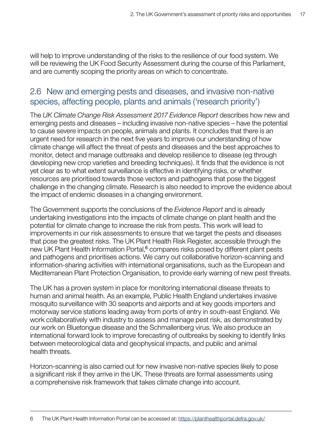<span id="page-18-0"></span>will help to improve understanding of the risks to the resilience of our food system. We will be reviewing the UK Food Security Assessment during the course of this Parliament, and are currently scoping the priority areas on which to concentrate.

### 2.6 New and emerging pests and diseases, and invasive non-native species, affecting people, plants and animals ('research priority')

The *UK Climate Change Risk Assessment 2017 Evidence Report* describes how new and emerging pests and diseases – including invasive non-native species – have the potential to cause severe impacts on people, animals and plants. It concludes that there is an urgent need for research in the next five years to improve our understanding of how climate change will affect the threat of pests and diseases and the best approaches to monitor, detect and manage outbreaks and develop resilience to disease (eg through developing new crop varieties and breeding techniques). It finds that the evidence is not yet clear as to what extent surveillance is effective in identifying risks, or whether resources are prioritised towards those vectors and pathogens that pose the biggest challenge in the changing climate. Research is also needed to improve the evidence about the impact of endemic diseases in a changing environment.

The Government supports the conclusions of the *Evidence Report* and is already undertaking investigations into the impacts of climate change on plant health and the potential for climate change to increase the risk from pests. This work will lead to improvements in our risk assessments to ensure that we target the pests and diseases that pose the greatest risks. The UK Plant Health Risk Register, accessible through the new UK Plant Health Information Portal,<sup>6</sup> compares risks posed by different plant pests and pathogens and prioritises actions. We carry out collaborative horizon-scanning and information-sharing activities with international organisations, such as the European and Mediterranean Plant Protection Organisation, to provide early warning of new pest threats.

The UK has a proven system in place for monitoring international disease threats to human and animal health. As an example, Public Health England undertakes invasive mosquito surveillance with 30 seaports and airports and at key goods importers and motorway service stations leading away from ports of entry in south-east England. We work collaboratively with industry to assess and manage pest risk, as demonstrated by our work on Bluetongue disease and the Schmallenberg virus. We also produce an international forward look to improve forecasting of outbreaks by seeking to identify links between meteorological data and geophysical impacts, and public and animal health threats.

Horizon-scanning is also carried out for new invasive non-native species likely to pose a significant risk if they arrive in the UK. These threats are formal assessments using a comprehensive risk framework that takes climate change into account.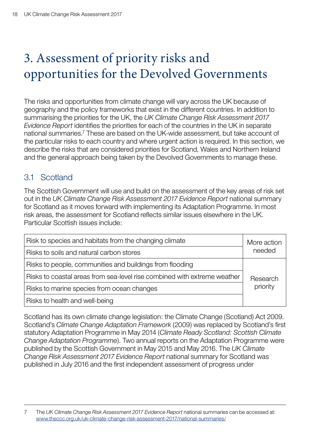# <span id="page-19-0"></span>3. Assessment of priority risks and opportunities for the Devolved Governments

The risks and opportunities from climate change will vary across the UK because of geography and the policy frameworks that exist in the different countries. In addition to summarising the priorities for the UK, the *UK Climate Change Risk Assessment 2017 Evidence Report* identifies the priorities for each of the countries in the UK in separate national summaries.7 These are based on the UK-wide assessment, but take account of the particular risks to each country and where urgent action is required. In this section, we describe the risks that are considered priorities for Scotland, Wales and Northern Ireland and the general approach being taken by the Devolved Governments to manage these.

## 3.1 Scotland

The Scottish Government will use and build on the assessment of the key areas of risk set out in the *UK Climate Change Risk Assessment 2017 Evidence Report* national summary for Scotland as it moves forward with implementing its Adaptation Programme. In most risk areas, the assessment for Scotland reflects similar issues elsewhere in the UK. Particular Scottish issues include:

| Risk to species and habitats from the changing climate                   | More action          |  |
|--------------------------------------------------------------------------|----------------------|--|
| Risks to soils and natural carbon stores                                 | needed               |  |
| Risks to people, communities and buildings from flooding                 |                      |  |
| Risks to coastal areas from sea-level rise combined with extreme weather | Research<br>priority |  |
| Risks to marine species from ocean changes                               |                      |  |
| Risks to health and well-being                                           |                      |  |

Scotland has its own climate change legislation: the Climate Change (Scotland) Act 2009. Scotland's *Climate Change Adaptation Framework* (2009) was replaced by Scotland's first statutory Adaptation Programme in May 2014 (*Climate Ready Scotland: Scottish Climate Change Adaptation Programme*). Two annual reports on the Adaptation Programme were published by the Scottish Government in May 2015 and May 2016. The *UK Climate Change Risk Assessment 2017 Evidence Report* national summary for Scotland was published in July 2016 and the first independent assessment of progress under

<sup>7</sup> The *UK Climate Change Risk Assessment 2017 Evidence Report* national summaries can be accessed at: [www.theccc.org.uk/uk-climate-change-risk-assessment-2017/national-summaries/](https://www.theccc.org.uk/uk-climate-change-risk-assessment-2017/national-summaries/)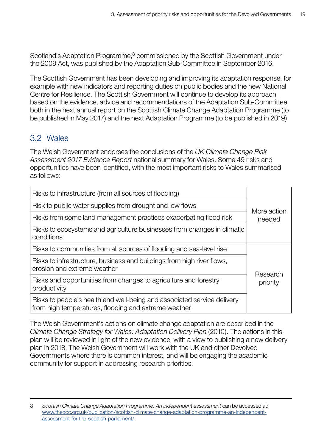<span id="page-20-0"></span>Scotland's Adaptation Programme,<sup>8</sup> commissioned by the Scottish Government under the 2009 Act, was published by the Adaptation Sub-Committee in September 2016.

The Scottish Government has been developing and improving its adaptation response, for example with new indicators and reporting duties on public bodies and the new National Centre for Resilience. The Scottish Government will continue to develop its approach based on the evidence, advice and recommendations of the Adaptation Sub-Committee, both in the next annual report on the Scottish Climate Change Adaptation Programme (to be published in May 2017) and the next Adaptation Programme (to be published in 2019).

## 3.2 Wales

The Welsh Government endorses the conclusions of the *UK Climate Change Risk Assessment 2017 Evidence Report* national summary for Wales. Some 49 risks and opportunities have been identified, with the most important risks to Wales summarised as follows:

| Risks to infrastructure (from all sources of flooding)                                                                          | More action<br>needed |  |
|---------------------------------------------------------------------------------------------------------------------------------|-----------------------|--|
| Risk to public water supplies from drought and low flows                                                                        |                       |  |
| Risks from some land management practices exacerbating flood risk                                                               |                       |  |
| Risks to ecosystems and agriculture businesses from changes in climatic<br>conditions                                           |                       |  |
| Risks to communities from all sources of flooding and sea-level rise                                                            |                       |  |
| Risks to infrastructure, business and buildings from high river flows,<br>erosion and extreme weather                           | Research<br>priority  |  |
| Risks and opportunities from changes to agriculture and forestry<br>productivity                                                |                       |  |
| Risks to people's health and well-being and associated service delivery<br>from high temperatures, flooding and extreme weather |                       |  |

The Welsh Government's actions on climate change adaptation are described in the *Climate Change Strategy for Wales: Adaptation Delivery Plan* (2010). The actions in this plan will be reviewed in light of the new evidence, with a view to publishing a new delivery plan in 2018. The Welsh Government will work with the UK and other Devolved Governments where there is common interest, and will be engaging the academic community for support in addressing research priorities.

<sup>8</sup> *Scottish Climate Change Adaptation Programme: An independent assessment* can be accessed at: [www.theccc.org.uk/publication/scottish-climate-change-adaptation-programme-an-independent](http://www.theccc.org.uk/publication/scottish-climate-change-adaptation-programme-an-independent-assessment-for-the-scottish-parliament/)[assessment-for-the-scottish-parliament/](http://www.theccc.org.uk/publication/scottish-climate-change-adaptation-programme-an-independent-assessment-for-the-scottish-parliament/)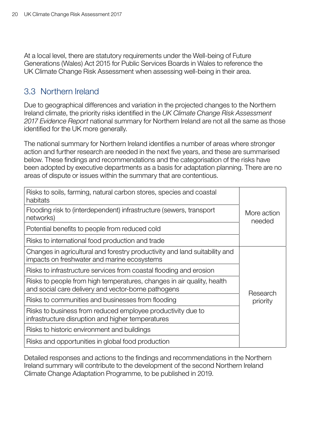<span id="page-21-0"></span>At a local level, there are statutory requirements under the Well-being of Future Generations (Wales) Act 2015 for Public Services Boards in Wales to reference the UK Climate Change Risk Assessment when assessing well-being in their area.

#### 3.3 Northern Ireland

Due to geographical differences and variation in the projected changes to the Northern Ireland climate, the priority risks identified in the *UK Climate Change Risk Assessment 2017 Evidence Report* national summary for Northern Ireland are not all the same as those identified for the UK more generally.

The national summary for Northern Ireland identifies a number of areas where stronger action and further research are needed in the next five years, and these are summarised below. These findings and recommendations and the categorisation of the risks have been adopted by executive departments as a basis for adaptation planning. There are no areas of dispute or issues within the summary that are contentious.

| Risks to soils, farming, natural carbon stores, species and coastal<br>habitats                                                                                 |                       |                                                   |
|-----------------------------------------------------------------------------------------------------------------------------------------------------------------|-----------------------|---------------------------------------------------|
| Flooding risk to (interdependent) infrastructure (sewers, transport<br>networks)                                                                                | More action<br>needed |                                                   |
| Potential benefits to people from reduced cold                                                                                                                  |                       |                                                   |
| Risks to international food production and trade                                                                                                                |                       |                                                   |
| Changes in agricultural and forestry productivity and land suitability and<br>impacts on freshwater and marine ecosystems                                       |                       |                                                   |
| Risks to infrastructure services from coastal flooding and erosion                                                                                              | Research<br>priority  |                                                   |
| Risks to people from high temperatures, changes in air quality, health<br>and social care delivery and vector-borne pathogens                                   |                       |                                                   |
| Risks to communities and businesses from flooding                                                                                                               |                       |                                                   |
| Risks to business from reduced employee productivity due to<br>infrastructure disruption and higher temperatures<br>Risks to historic environment and buildings |                       |                                                   |
|                                                                                                                                                                 |                       | Risks and opportunities in global food production |

Detailed responses and actions to the findings and recommendations in the Northern Ireland summary will contribute to the development of the second Northern Ireland Climate Change Adaptation Programme, to be published in 2019.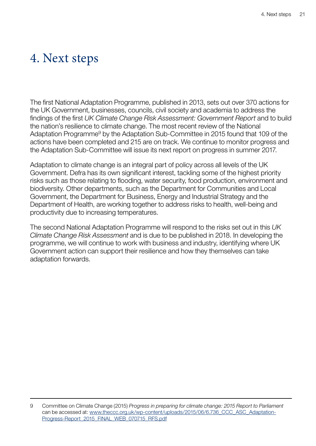## <span id="page-22-0"></span>4. Next steps

The first National Adaptation Programme, published in 2013, sets out over 370 actions for the UK Government, businesses, councils, civil society and academia to address the findings of the first *UK Climate Change Risk Assessment: Government Report* and to build the nation's resilience to climate change. The most recent review of the National Adaptation Programme<sup>9</sup> by the Adaptation Sub-Committee in 2015 found that 109 of the actions have been completed and 215 are on track. We continue to monitor progress and the Adaptation Sub-Committee will issue its next report on progress in summer 2017.

Adaptation to climate change is an integral part of policy across all levels of the UK Government. Defra has its own significant interest, tackling some of the highest priority risks such as those relating to flooding, water security, food production, environment and biodiversity. Other departments, such as the Department for Communities and Local Government, the Department for Business, Energy and Industrial Strategy and the Department of Health, are working together to address risks to health, well-being and productivity due to increasing temperatures.

The second National Adaptation Programme will respond to the risks set out in this *UK Climate Change Risk Assessment* and is due to be published in 2018. In developing the programme, we will continue to work with business and industry, identifying where UK Government action can support their resilience and how they themselves can take adaptation forwards.

<sup>9</sup> Committee on Climate Change (2015) *Progress in preparing for climate change: 2015 Report to Parliament* can be accessed at: www.theccc.org.uk/wp-content/uploads/2015/06/6.736 CCC\_ASC\_Adaptation-[Progress-Report\\_2015\\_FINAL\\_WEB\\_070715\\_RFS.pdf](https://www.theccc.org.uk/wp-content/uploads/2015/06/6.736_CCC_ASC_Adaptation-Progress-Report_2015_FINAL_WEB_070715_RFS.pdf)